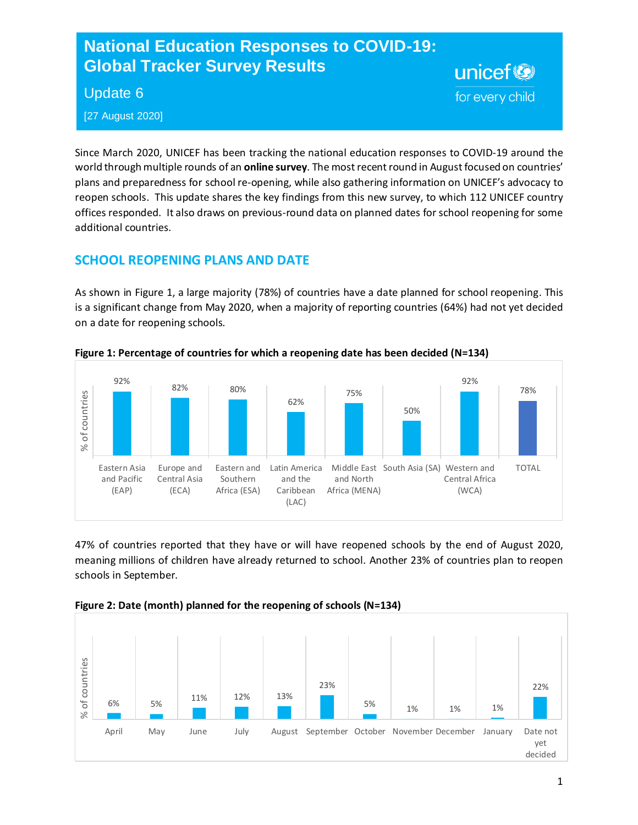# **National Education Responses to COVID-19: Global Tracker Survey Results**

### Update 6

[27 August 2020]

Since March 2020, UNICEF has been tracking the national education responses to COVID-19 around the world through multiple rounds of an **online survey**. The most recent round in August focused on countries' plans and preparedness for school re-opening, while also gathering information on UNICEF's advocacy to reopen schools. This update shares the key findings from this new survey, to which 112 UNICEF country offices responded. It also draws on previous-round data on planned dates for school reopening for some additional countries.

unicef<sup>®</sup>

for every child

# **SCHOOL REOPENING PLANS AND DATE**

As shown in Figure 1, a large majority (78%) of countries have a date planned for school reopening. This is a significant change from May 2020, when a majority of reporting countries (64%) had not yet decided on a date for reopening schools.



**Figure 1: Percentage of countries for which a reopening date has been decided (N=134)**

47% of countries reported that they have or will have reopened schools by the end of August 2020, meaning millions of children have already returned to school. Another 23% of countries plan to reopen schools in September.



**Figure 2: Date (month) planned for the reopening of schools (N=134)**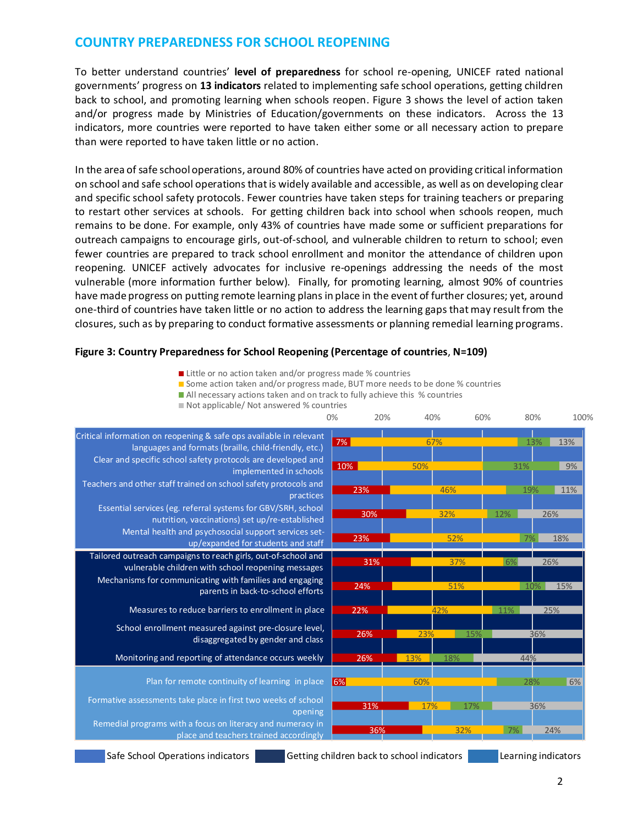### **COUNTRY PREPAREDNESS FOR SCHOOL REOPENING**

To better understand countries' **level of preparedness** for school re-opening, UNICEF rated national governments' progress on **13 indicators** related to implementing safe school operations, getting children back to school, and promoting learning when schools reopen. Figure 3 shows the level of action taken and/or progress made by Ministries of Education/governments on these indicators. Across the 13 indicators, more countries were reported to have taken either some or all necessary action to prepare than were reported to have taken little or no action.

In the area of safe school operations, around 80% of countries have acted on providing critical information on school and safe school operations that is widely available and accessible, as well as on developing clear and specific school safety protocols. Fewer countries have taken steps for training teachers or preparing to restart other services at schools. For getting children back into school when schools reopen, much remains to be done. For example, only 43% of countries have made some or sufficient preparations for outreach campaigns to encourage girls, out-of-school, and vulnerable children to return to school; even fewer countries are prepared to track school enrollment and monitor the attendance of children upon reopening. UNICEF actively advocates for inclusive re-openings addressing the needs of the most vulnerable (more information further below). Finally, for promoting learning, almost 90% of countries have made progress on putting remote learning plans in place in the event of further closures; yet, around one-third of countries have taken little or no action to address the learning gaps that may result from the closures, such as by preparing to conduct formative assessments or planning remedial learning programs.

#### **Figure 3: Country Preparedness for School Reopening (Percentage of countries**, **N=109)**

- Little or no action taken and/or progress made % countries
- Some action taken and/or progress made, BUT more needs to be done % countries
- All necessary actions taken and on track to fully achieve this % countries



Not applicable/ Not answered % countries

Safe School Operations indicators Getting children back to school indicators Learning indicators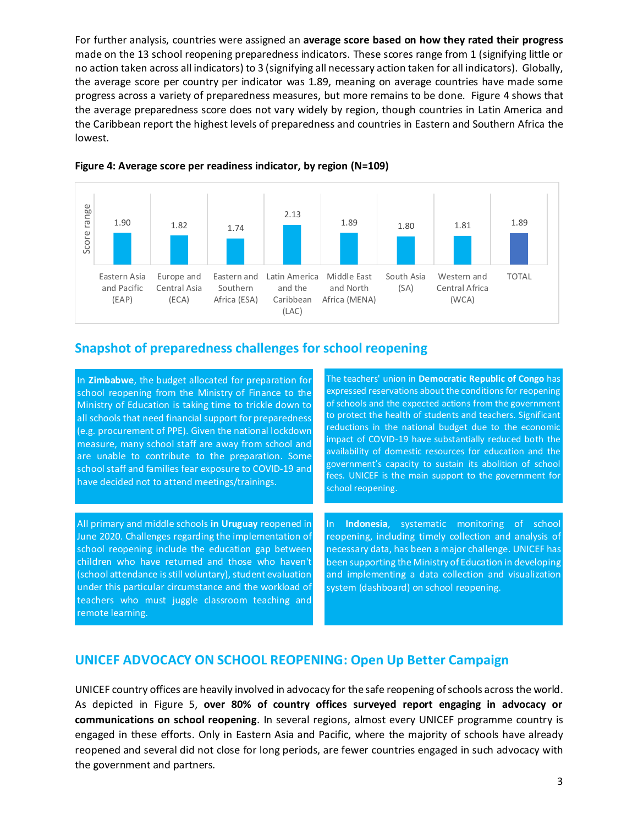For further analysis, countries were assigned an **average score based on how they rated their progress** made on the 13 school reopening preparedness indicators. These scores range from 1 (signifying little or no action taken across all indicators) to 3 (signifying all necessary action taken for all indicators). Globally, the average score per country per indicator was 1.89, meaning on average countries have made some progress across a variety of preparedness measures, but more remains to be done. Figure 4 shows that the average preparedness score does not vary widely by region, though countries in Latin America and the Caribbean report the highest levels of preparedness and countries in Eastern and Southern Africa the lowest.



#### **Figure 4: Average score per readiness indicator, by region (N=109)**

### **Snapshot of preparedness challenges for school reopening**

In **Zimbabwe**, the budget allocated for preparation for school reopening from the Ministry of Finance to the Ministry of Education is taking time to trickle down to all schools that need financial support for preparedness (e.g. procurement of PPE). Given the national lockdown measure, many school staff are away from school and are unable to contribute to the preparation. Some school staff and families fear exposure to COVID-19 and have decided not to attend meetings/trainings.

children who have returned and those who haven't All primary and middle schools **in Uruguay** reopened in June 2020. Challenges regarding the implementation of school reopening include the education gap between (school attendance is still voluntary), student evaluation under this particular circumstance and the workload of teachers who must juggle classroom teaching and remote learning.

The teachers' union in **Democratic Republic of Congo** has expressed reservations about the conditions for reopening of schools and the expected actions from the government to protect the health of students and teachers. Significant reductions in the national budget due to the economic impact of COVID-19 have substantially reduced both the availability of domestic resources for education and the government's capacity to sustain its abolition of school fees. UNICEF is the main support to the government for school reopening.

In **Indonesia**, systematic monitoring of school reopening, including timely collection and analysis of necessary data, has been a major challenge. UNICEF has been supporting the Ministry of Education in developing and implementing a data collection and visualization system (dashboard) on school reopening.

## **UNICEF ADVOCACY ON SCHOOL REOPENING: Open Up Better Campaign**

UNICEF country offices are heavily involved in advocacy for the safe reopening of schools across the world. As depicted in Figure 5, **over 80% of country offices surveyed report engaging in advocacy or communications on school reopening**. In several regions, almost every UNICEF programme country is engaged in these efforts. Only in Eastern Asia and Pacific, where the majority of schools have already reopened and several did not close for long periods, are fewer countries engaged in such advocacy with the government and partners.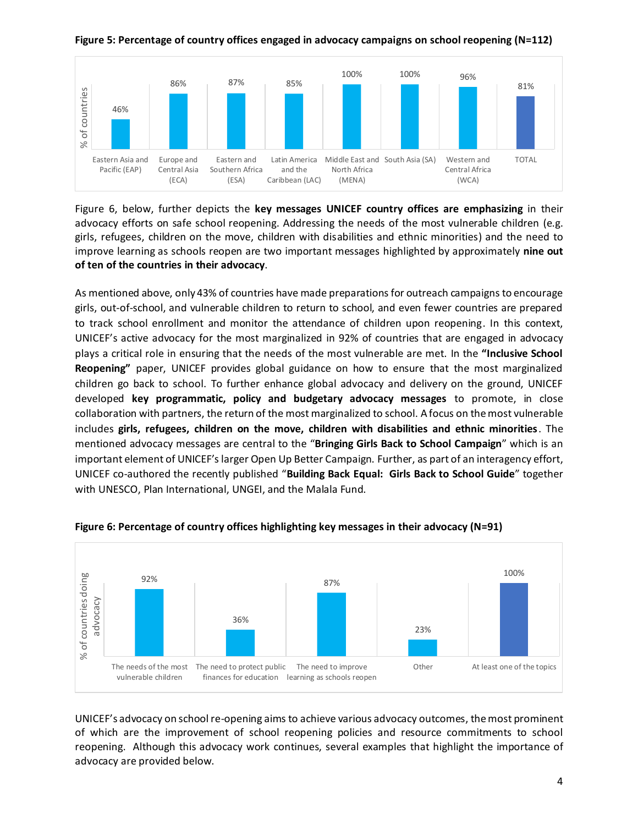

**Figure 5: Percentage of country offices engaged in advocacy campaigns on school reopening (N=112)**

Figure 6, below, further depicts the **key messages UNICEF country offices are emphasizing** in their advocacy efforts on safe school reopening. Addressing the needs of the most vulnerable children (e.g. girls, refugees, children on the move, children with disabilities and ethnic minorities) and the need to improve learning as schools reopen are two important messages highlighted by approximately **nine out of ten of the countries in their advocacy**.

As mentioned above, only 43% of countries have made preparations for outreach campaigns to encourage girls, out-of-school, and vulnerable children to return to school, and even fewer countries are prepared to track school enrollment and monitor the attendance of children upon reopening. In this context, UNICEF's active advocacy for the most marginalized in 92% of countries that are engaged in advocacy plays a critical role in ensuring that the needs of the most vulnerable are met. In the **"Inclusive School Reopening"** paper, UNICEF provides global guidance on how to ensure that the most marginalized children go back to school. To further enhance global advocacy and delivery on the ground, UNICEF developed **key programmatic, policy and budgetary advocacy messages** to promote, in close collaboration with partners, the return of the most marginalized to school. A focus on the most vulnerable includes **girls, refugees, children on the move, children with disabilities and ethnic minorities**. The mentioned advocacy messages are central to the "**Bringing Girls Back to School Campaign**" which is an important element of UNICEF's larger Open Up Better Campaign. Further, as part of an interagency effort, UNICEF co-authored the recently published "**Building Back Equal: Girls Back to School Guide**" together with UNESCO, Plan International, UNGEI, and the Malala Fund.



### **Figure 6: Percentage of country offices highlighting key messages in their advocacy (N=91)**

UNICEF's advocacy on school re-opening aims to achieve various advocacy outcomes, the most prominent of which are the improvement of school reopening policies and resource commitments to school reopening. Although this advocacy work continues, several examples that highlight the importance of advocacy are provided below.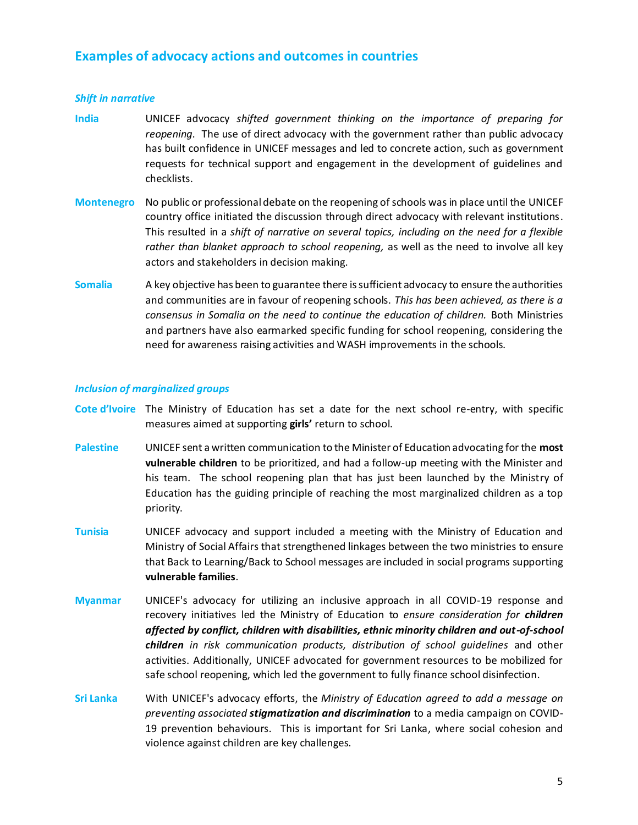### **Examples of advocacy actions and outcomes in countries**

#### *Shift in narrative*

- **India** UNICEF advocacy *shifted government thinking on the importance of preparing for reopening*. The use of direct advocacy with the government rather than public advocacy has built confidence in UNICEF messages and led to concrete action, such as government requests for technical support and engagement in the development of guidelines and checklists.
- **Montenegro** No public or professional debate on the reopening of schools was in place until the UNICEF country office initiated the discussion through direct advocacy with relevant institutions. This resulted in a *shift of narrative on several topics, including on the need for a flexible rather than blanket approach to school reopening,* as well as the need to involve all key actors and stakeholders in decision making.
- Somalia A key objective has been to guarantee there is sufficient advocacy to ensure the authorities and communities are in favour of reopening schools. *This has been achieved, as there is a consensus in Somalia on the need to continue the education of children.* Both Ministries and partners have also earmarked specific funding for school reopening, considering the need for awareness raising activities and WASH improvements in the schools.

#### *Inclusion of marginalized groups*

- **Cote d'Ivoire** The Ministry of Education has set a date for the next school re-entry, with specific measures aimed at supporting **girls'** return to school.
- **Palestine** UNICEF sent a written communication to the Minister of Education advocating for the **most vulnerable children** to be prioritized, and had a follow-up meeting with the Minister and his team. The school reopening plan that has just been launched by the Ministry of Education has the guiding principle of reaching the most marginalized children as a top priority.
- **Tunisia** UNICEF advocacy and support included a meeting with the Ministry of Education and Ministry of Social Affairs that strengthened linkages between the two ministries to ensure that Back to Learning/Back to School messages are included in social programs supporting **vulnerable families**.
- **Myanmar** UNICEF's advocacy for utilizing an inclusive approach in all COVID-19 response and recovery initiatives led the Ministry of Education to *ensure consideration for children affected by conflict, children with disabilities, ethnic minority children and out-of-school children in risk communication products, distribution of school guidelines* and other activities. Additionally, UNICEF advocated for government resources to be mobilized for safe school reopening, which led the government to fully finance school disinfection.
- **Sri Lanka** With UNICEF's advocacy efforts, the *Ministry of Education agreed to add a message on preventing associated stigmatization and discrimination* to a media campaign on COVID-19 prevention behaviours. This is important for Sri Lanka, where social cohesion and violence against children are key challenges.